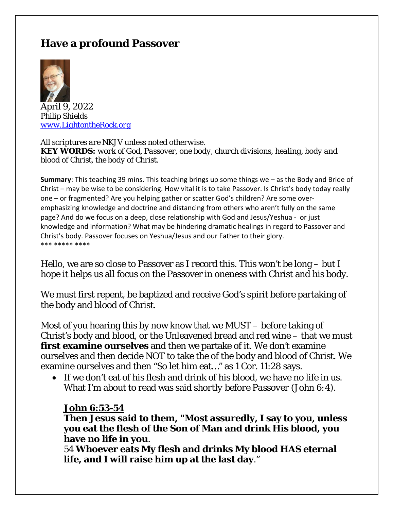# **Have a profound Passover**



April 9, 2022 *Philip Shields [www.LightontheRock.org](http://www.lightontherock.org/)*

*All scriptures are NKJV unless noted otherwise. KEY WORDS: work of God, Passover, one body, church divisions, healing, body and blood of Christ, the body of Christ.*

**Summary**: This teaching 39 mins. This teaching brings up some things we – as the Body and Bride of Christ – may be wise to be considering. How vital it is to take Passover. Is Christ's body today really one – or fragmented? Are you helping gather or scatter God's children? Are some overemphasizing knowledge and doctrine and distancing from others who aren't fully on the same page? And do we focus on a deep, close relationship with God and Jesus/Yeshua - or just knowledge and information? What may be hindering dramatic healings in regard to Passover and Christ's body. Passover focuses on Yeshua/Jesus and our Father to their glory. \*\*\* \*\*\*\*\* \*\*\*\*

Hello, we are so close to Passover as I record this. This won't be long – but I hope it helps us all focus on the Passover in oneness with Christ and his body.

We must first repent, be baptized and receive God's spirit before partaking of the body and blood of Christ.

Most of you hearing this by now know that we MUST – before taking of Christ's body and blood, or the Unleavened bread and red wine – that we must **first examine ourselves** and then we partake of it. We *don't* examine ourselves and then decide NOT to take the of the body and blood of Christ. We examine ourselves and then "So let him eat…" as 1 Cor. 11:28 says.

• If we don't eat of his flesh and drink of his blood, we have no life in us. What I'm about to read was said *shortly before Passover (John 6:4)*.

#### **John 6:53-54**

**Then Jesus said to them, "Most assuredly, I say to you, unless you eat the flesh of the Son of Man and drink His blood, you have no life in you**.

54 **Whoever eats My flesh and drinks My blood HAS eternal life, and I will raise him up at the last day**."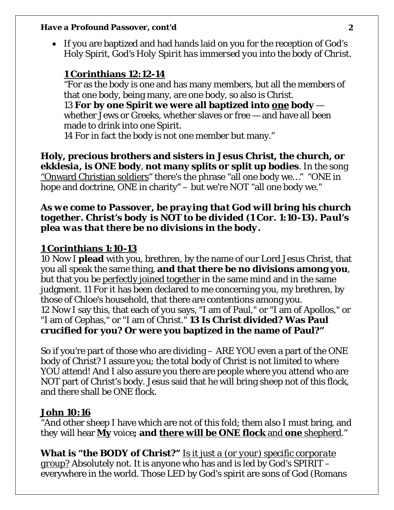• If you are baptized and had hands laid on you for the reception of God's Holy Spirit*, God's Holy Spirit has immersed you into the body of Christ*.

# **1 Corinthians 12:12-14**

"For as the body is one and has many members, but all the members of that one body, being many, are one body, so also is Christ. 13 **For by one Spirit we were all baptized into one body** whether Jews or Greeks, whether slaves or free — and have all been made to drink into one Spirit. 14 For in fact the body is not one member but many."

**Holy, precious brothers and sisters in Jesus Christ, the church, or**  *ekklesia***, is ONE body**, **not many splits or split up bodies**. In the song "Onward Christian soldiers" there's the phrase "all one body we…" "ONE in hope and doctrine, ONE in charity" – but we're NOT "all one body we."

### *As we come to Passover, be praying that God will bring his church together. Christ's body is NOT to be divided (1 Cor. 1:10-13). Paul's plea was that there be no divisions in the body.*

## **1 Corinthians 1:10-13**

10 Now I **plead** with you, brethren, by the name of our Lord Jesus Christ, that you all speak the same thing, **and that there be no divisions among you**, but that you be perfectly joined together in the same mind and in the same judgment. 11 For it has been declared to me concerning you, my brethren, by those of Chloe's household, that there are contentions among you. 12 Now I say this, that each of you says, "I am of Paul," or "I am of Apollos," or "I am of Cephas," or "I am of Christ." **13 Is Christ divided? Was Paul crucified for you? Or were you baptized in the name of Paul?"**

So if you're part of those who are dividing – ARE YOU even a part of the ONE body of Christ? I assure you; the total body of Christ is not limited to where YOU attend! And I also assure you there are people where you attend who are NOT part of Christ's body. Jesus said that he will bring sheep not of this flock, and there shall be ONE flock.

## **John 10:16**

"And other sheep I have which are not of this fold; them also I must bring, and *they* will hear **My** voice**; and there will be ONE flock** and **one** shepherd."

**What is "the BODY of Christ?"** *Is it just a (or your) specific corporate group?* Absolutely not. It is anyone who has and is led by God's SPIRIT – everywhere in the world. Those LED by God's spirit are sons of God (Romans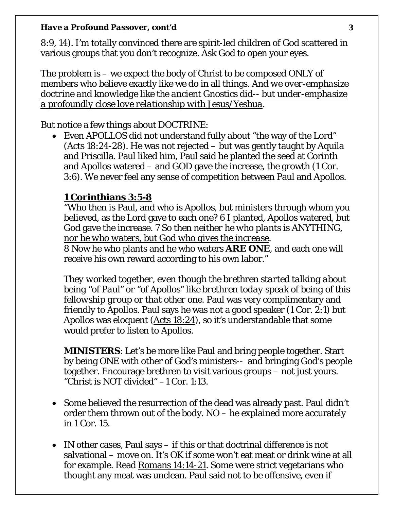8:9, 14). I'm totally convinced there are spirit-led children of God scattered in various groups that you don't recognize. Ask God to open your eyes.

The problem is – we expect the body of Christ to be composed ONLY of members who believe exactly like we do in all things. *And we over-emphasize doctrine and knowledge like the ancient Gnostics did-- but under-emphasize a profoundly close love relationship with Jesus/Yeshua*.

But notice a few things about DOCTRINE:

• Even APOLLOS did not understand fully about "the way of the Lord" (Acts 18:24-28). He was not rejected – but was gently taught by Aquila and Priscilla. Paul liked him, Paul said he planted the seed at Corinth and Apollos watered – and GOD gave the increase, the growth (1 Cor. 3:6). We never feel any sense of competition between Paul and Apollos.

# **1 Corinthians 3:5-8**

"Who then is Paul, and who is Apollos, but ministers through whom you believed, as the Lord gave to each one? 6 I planted, Apollos watered, but God gave the increase. 7 *So then neither he who plants is ANYTHING, nor he who waters, but God who gives the increase*.

8 Now he who plants and he who waters **ARE ONE**, and each one will receive his own reward according to his own labor."

*They worked together, even though the brethren started talking about being "of Paul" or "of Apollos" like brethren today speak of being of this fellowship group or that other one.* Paul was very complimentary and friendly to Apollos. Paul says he was not a good speaker (1 Cor. 2:1) but Apollos was eloquent (Acts 18:24), so it's understandable that some would prefer to listen to Apollos.

**MINISTERS**: Let's be more like Paul and bring people together. Start by being ONE with other of God's ministers-- and bringing God's people together. Encourage brethren to visit various groups – not just yours. "Christ is NOT divided" –1 Cor. 1:13.

- Some believed the resurrection of the dead was already past. Paul didn't order them thrown out of the body. NO – he explained more accurately in 1 Cor. 15.
- IN other cases, Paul says if this or that doctrinal difference is not salvational – move on. It's OK if some won't eat meat or drink wine at all for example. Read Romans 14:14-21. Some were strict vegetarians who thought any meat was unclean. Paul said not to be offensive, even if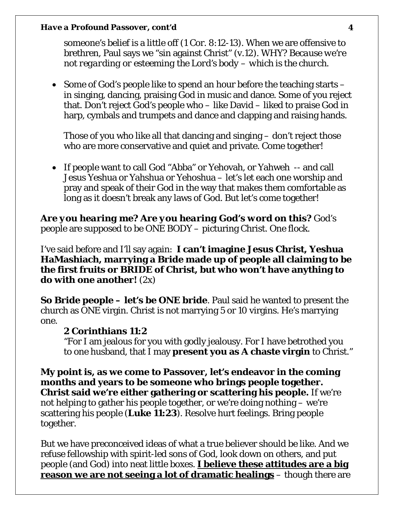someone's belief is a little off (1 Cor. 8:12-13). When we are offensive to brethren, Paul says we "sin against Christ" (v.12). WHY? *Because we're not regarding or esteeming the Lord's body – which is the church*.

• Some of God's people like to spend an hour before the teaching starts – in singing, dancing, praising God in music and dance. Some of you reject that. Don't reject God's people who – like David – liked to praise God in harp, cymbals and trumpets and dance and clapping and raising hands.

Those of you who like all that dancing and singing – don't reject those who are more conservative and quiet and private. Come together!

• If people want to call God "Abba" or Yehovah, or Yahweh -- and call Jesus Yeshua or Yahshua or Yehoshua – let's let each one worship and pray and speak of their God in the way that makes them comfortable as long as it doesn't break any laws of God. But let's come together!

*Are you hearing me? Are you hearing God's word on this?* God's people are supposed to be ONE BODY – picturing Christ. One flock.

I've said before and I'll say again: **I can't imagine Jesus Christ, Yeshua HaMashiach, marrying a Bride made up of people all claiming to be the first fruits or BRIDE of Christ, but who won't have anything to do with one another!** (2x)

**So Bride people – let's be ONE bride**. Paul said he wanted to present the church as ONE virgin. Christ is not marrying 5 or 10 virgins. He's marrying one.

### **2 Corinthians 11:2**

"For I am jealous for you with godly jealousy. For I have betrothed you to one husband, that I may **present you as A chaste virgin** to Christ."

**My point is, as we come to Passover, let's endeavor in the coming months and years to be someone who brings people together. Christ said we're either gathering or scattering his people.** If we're not helping to gather his people together, or we're doing nothing – we're scattering his people (**Luke 11:23**). Resolve hurt feelings. Bring people together.

But we have preconceived ideas of what a true believer should be like. And we refuse fellowship with spirit-led sons of God, look down on others, and put people (and God) into neat little boxes. **I believe these attitudes are a big reason we are not seeing a lot of dramatic healings** – though there are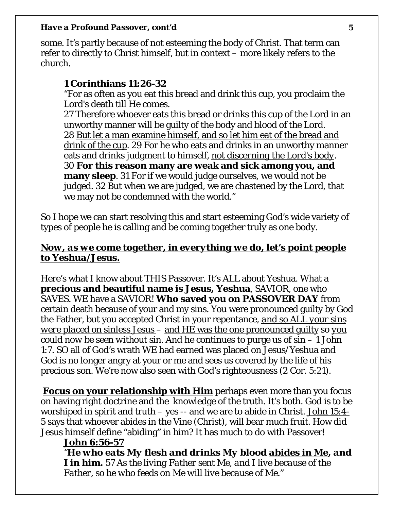some. It's partly because of not esteeming the body of Christ. That term can refer to directly to Christ himself, but in context – more likely refers to the church.

## **1 Corinthians 11:26-32**

"For as often as you eat this bread and drink this cup, you proclaim the Lord's death till He comes.

27 Therefore whoever eats this bread or drinks this cup of the Lord in an unworthy manner will be guilty of the body and blood of the Lord. 28 But let a man examine himself, and so let him eat of the bread and drink of the cup. 29 For he who eats and drinks in an unworthy manner eats and drinks judgment to himself, *not discerning the Lord's body*. 30 **For this reason many are weak and sick among you, and many sleep**. 31 For if we would judge ourselves, we would not be judged. 32 But when we are judged, we are chastened by the Lord, that we may not be condemned with the world."

So I hope we can start resolving this and start esteeming God's wide variety of types of people he is calling and be coming together truly as one body.

# *Now, as we come together, in everything we do, let's point people to Yeshua/Jesus.*

Here's what I know about THIS Passover. It's ALL about Yeshua. What a **precious and beautiful name is Jesus, Yeshua**, SAVIOR, one who SAVES. WE have a SAVIOR! **Who saved you on PASSOVER DAY** from certain death because of your and my sins. You were pronounced guilty by God the Father, but you accepted Christ in your repentance, *and so ALL your sins were placed on sinless Jesus* – and *HE* was the one pronounced guilty so *you could now be seen without sin*. And he continues to purge us of sin – 1 John 1:7. SO all of God's wrath WE had earned was placed on Jesus/Yeshua and God is no longer angry at your or me and sees us covered by the life of his precious son. We're now also seen with God's righteousness (2 Cor. 5:21).

**Focus on your relationship with Him** perhaps even more than you focus on having right doctrine and the knowledge of the truth. It's both. God is to be worshiped in spirit and truth – yes -- and we are to abide in Christ. John 15:4- 5 says that whoever abides in the Vine (Christ), will bear much fruit. How did Jesus himself define "abiding" in him? It has much to do with Passover!

### **John 6:56-57**

*"He who eats My flesh and drinks My blood abides in Me, and I in him. 57 As the living Father sent Me, and I live because of the Father, so he who feeds on Me will live because of Me."*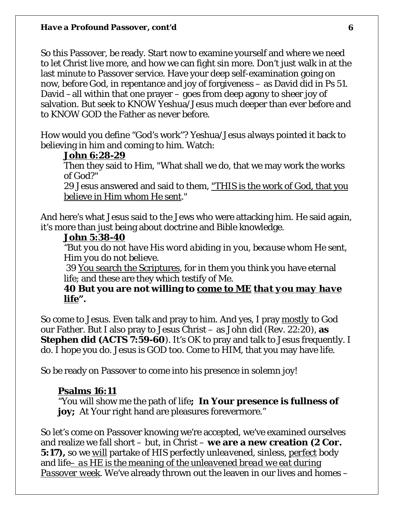So this Passover, be ready. Start now to examine yourself and where we need to let Christ live more, and how we can fight sin more. Don't just walk in at the last minute to Passover service. Have your deep self-examination going on now, before God, in repentance and joy of forgiveness – as David did in Ps 51. David –all within that one prayer – goes from deep agony to sheer joy of salvation. But seek to KNOW Yeshua/Jesus much deeper than ever before and to KNOW GOD the Father as never before.

How would you define "God's work"? Yeshua/Jesus always pointed it back to believing in him and coming to him. Watch:

#### **John 6:28-29**

Then they said to Him, "What shall we do, that we may work the works of God?"

29 Jesus answered and said to them, "THIS is the work of God, that you believe in Him whom He sent."

And here's what Jesus said to the Jews who were attacking him. He said again, it's more than just being about doctrine and Bible knowledge.

### *John 5:38-40*

*"But you do not have His word abiding in you, because whom He sent, Him you do not believe*.

39 You search the Scriptures, for in them you think you have eternal life; and these are they which testify of Me.

**40 But you are not willing to come to ME** *that you may have life***".**

So come to Jesus. Even talk and pray to him. And yes, I pray *mostly* to God our Father. But I also pray to Jesus Christ – as John did (Rev. 22:20), **as Stephen did (ACTS 7:59-60**). It's OK to pray and talk to Jesus frequently. I do. I hope you do. Jesus is GOD too. Come to HIM, that you may have life.

So be ready on Passover to come into his presence in solemn joy!

#### **Psalms 16:11**

"You will show me the path of life**; In Your presence is fullness of joy;** At Your right hand are pleasures forevermore."

So let's come on Passover knowing we're accepted, we've examined ourselves and realize we fall short – but, in Christ – **we are a new creation (2 Cor. 5:17),** so we *will* partake of HIS perfectly *unleavened*, sinless, *perfect* body and life*– as HE is the meaning of the unleavened bread we eat during Passover week*. We've already thrown out the leaven in our lives and homes –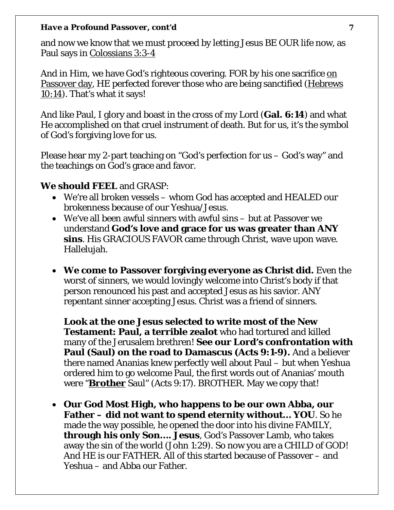and now we know that we must proceed by letting Jesus BE OUR life now, as Paul says in Colossians 3:3-4

And in Him, we have God's righteous covering. FOR by his one sacrifice on Passover day, HE perfected forever those who are being sanctified (Hebrews 10:14). That's what it says!

And like Paul, I glory and boast in the cross of my Lord (**Gal. 6:14**) and what He accomplished on that cruel instrument of death. But for us, it's the symbol of God's forgiving love for us.

Please hear my 2-part teaching on "God's perfection for us – God's way" and the teachings on God's grace and favor.

### **We should FEEL** and GRASP:

- We're all broken vessels whom God has accepted and HEALED our brokenness because of our Yeshua/Jesus.
- We've all been awful sinners with awful sins but at Passover we understand **God's love and grace for us was greater than ANY sins**. His GRACIOUS FAVOR came through Christ, wave upon wave. Hallelujah.
- **We come to Passover forgiving everyone as Christ did.** Even the worst of sinners, we would lovingly welcome into Christ's body if that person renounced his past and accepted Jesus as his savior. ANY repentant sinner accepting Jesus. Christ was a friend of sinners.

**Look at the one Jesus selected to write most of the New Testament: Paul, a terrible zealot** who had tortured and killed many of the Jerusalem brethren! **See our Lord's confrontation with Paul (Saul) on the road to Damascus (Acts 9:1-9).** And a believer there named Ananias knew perfectly well about Paul – but when Yeshua ordered him to go welcome Paul, the first words out of Ananias' mouth were "*Brother* Saul" (Acts 9:17). BROTHER. May we copy that!

• **Our God Most High, who happens to be our own Abba, our Father – did not want to spend eternity without… YOU**. So he made the way possible, he opened the door into his divine FAMILY, **through his only Son…. Jesus**, God's Passover Lamb, who takes away the sin of the world (John 1:29). So now you are a CHILD of GOD! And HE is our FATHER. All of this started because of Passover – and Yeshua – and Abba our Father.